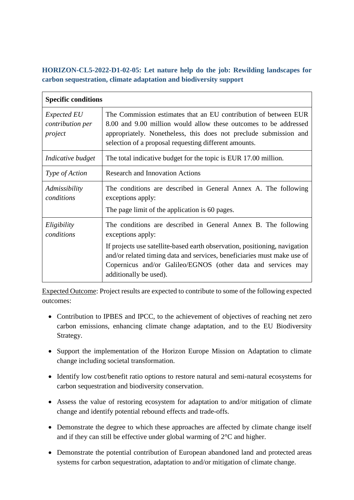## **HORIZON-CL5-2022-D1-02-05: Let nature help do the job: Rewilding landscapes for carbon sequestration, climate adaptation and biodiversity support**

| <b>Specific conditions</b>                        |                                                                                                                                                                                                                                                                   |
|---------------------------------------------------|-------------------------------------------------------------------------------------------------------------------------------------------------------------------------------------------------------------------------------------------------------------------|
| <i>Expected EU</i><br>contribution per<br>project | The Commission estimates that an EU contribution of between EUR<br>8.00 and 9.00 million would allow these outcomes to be addressed<br>appropriately. Nonetheless, this does not preclude submission and<br>selection of a proposal requesting different amounts. |
| Indicative budget                                 | The total indicative budget for the topic is EUR 17.00 million.                                                                                                                                                                                                   |
| <i>Type of Action</i>                             | <b>Research and Innovation Actions</b>                                                                                                                                                                                                                            |
| Admissibility<br>conditions                       | The conditions are described in General Annex A. The following<br>exceptions apply:<br>The page limit of the application is 60 pages.                                                                                                                             |
| Eligibility<br>conditions                         | The conditions are described in General Annex B. The following<br>exceptions apply:                                                                                                                                                                               |
|                                                   | If projects use satellite-based earth observation, positioning, navigation<br>and/or related timing data and services, beneficiaries must make use of<br>Copernicus and/or Galileo/EGNOS (other data and services may<br>additionally be used).                   |

Expected Outcome: Project results are expected to contribute to some of the following expected outcomes:

- Contribution to IPBES and IPCC, to the achievement of objectives of reaching net zero carbon emissions, enhancing climate change adaptation, and to the EU Biodiversity Strategy.
- Support the implementation of the Horizon Europe Mission on Adaptation to climate change including societal transformation.
- Identify low cost/benefit ratio options to restore natural and semi-natural ecosystems for carbon sequestration and biodiversity conservation.
- Assess the value of restoring ecosystem for adaptation to and/or mitigation of climate change and identify potential rebound effects and trade-offs.
- Demonstrate the degree to which these approaches are affected by climate change itself and if they can still be effective under global warming of 2°C and higher.
- Demonstrate the potential contribution of European abandoned land and protected areas systems for carbon sequestration, adaptation to and/or mitigation of climate change.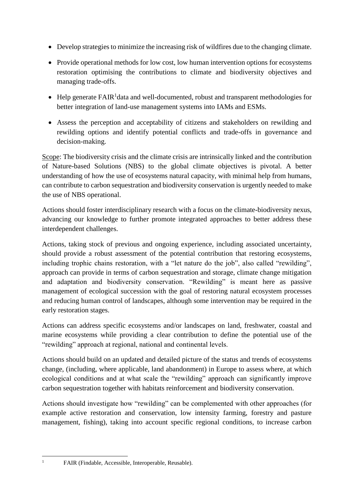- Develop strategies to minimize the increasing risk of wildfires due to the changing climate.
- Provide operational methods for low cost, low human intervention options for ecosystems restoration optimising the contributions to climate and biodiversity objectives and managing trade-offs.
- $\bullet$  Help generate  $FAIR^1$ data and well-documented, robust and transparent methodologies for better integration of land-use management systems into IAMs and ESMs.
- Assess the perception and acceptability of citizens and stakeholders on rewilding and rewilding options and identify potential conflicts and trade-offs in governance and decision-making.

Scope: The biodiversity crisis and the climate crisis are intrinsically linked and the contribution of Nature-based Solutions (NBS) to the global climate objectives is pivotal. A better understanding of how the use of ecosystems natural capacity, with minimal help from humans, can contribute to carbon sequestration and biodiversity conservation is urgently needed to make the use of NBS operational.

Actions should foster interdisciplinary research with a focus on the climate-biodiversity nexus, advancing our knowledge to further promote integrated approaches to better address these interdependent challenges.

Actions, taking stock of previous and ongoing experience, including associated uncertainty, should provide a robust assessment of the potential contribution that restoring ecosystems, including trophic chains restoration, with a "let nature do the job", also called "rewilding", approach can provide in terms of carbon sequestration and storage, climate change mitigation and adaptation and biodiversity conservation. "Rewilding" is meant here as passive management of ecological succession with the goal of restoring natural ecosystem processes and reducing human control of landscapes, although some intervention may be required in the early restoration stages.

Actions can address specific ecosystems and/or landscapes on land, freshwater, coastal and marine ecosystems while providing a clear contribution to define the potential use of the "rewilding" approach at regional, national and continental levels.

Actions should build on an updated and detailed picture of the status and trends of ecosystems change, (including, where applicable, land abandonment) in Europe to assess where, at which ecological conditions and at what scale the "rewilding" approach can significantly improve carbon sequestration together with habitats reinforcement and biodiversity conservation.

Actions should investigate how "rewilding" can be complemented with other approaches (for example active restoration and conservation, low intensity farming, forestry and pasture management, fishing), taking into account specific regional conditions, to increase carbon

<sup>&</sup>lt;sup>1</sup> FAIR (Findable, Accessible, Interoperable, Reusable).